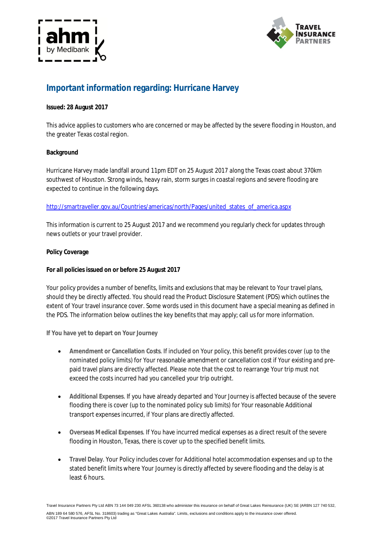



# **Important information regarding: Hurricane Harvey**

## **Issued: 28 August 2017**

This advice applies to customers who are concerned or may be affected by the severe flooding in Houston, and the greater Texas costal region.

# **Background**

Hurricane Harvey made landfall around 11pm EDT on 25 August 2017 along the Texas coast about 370km southwest of Houston. Strong winds, heavy rain, storm surges in coastal regions and severe flooding are expected to continue in the following days.

# http://smartraveller.gov.au/Countries/americas/north/Pages/united\_states\_of\_america.aspx

This information is current to 25 August 2017 and we recommend you regularly check for updates through news outlets or your travel provider.

## **Policy Coverage**

## **For all policies issued on or before 25 August 2017**

Your policy provides a number of benefits, limits and exclusions that may be relevant to Your travel plans, should they be directly affected. You should read the Product Disclosure Statement (PDS) which outlines the extent of Your travel insurance cover. Some words used in this document have a special meaning as defined in the PDS. The information below outlines the key benefits that may apply; call us for more information.

**If You have yet to depart on Your Journey**

- **Amendment or Cancellation Costs**. If included on Your policy, this benefit provides cover (up to the nominated policy limits) for Your reasonable amendment or cancellation cost if Your existing and prepaid travel plans are directly affected. Please note that the cost to rearrange Your trip must not exceed the costs incurred had you cancelled your trip outright.
- **Additional Expenses**. If you have already departed and Your Journey is affected because of the severe flooding there is cover (up to the nominated policy sub limits) for Your reasonable Additional transport expenses incurred, if Your plans are directly affected.
- **Overseas Medical Expenses**. If You have incurred medical expenses as a direct result of the severe flooding in Houston, Texas, there is cover up to the specified benefit limits.
- **Travel Delay**. Your Policy includes cover for Additional hotel accommodation expenses and up to the stated benefit limits where Your Journey is directly affected by severe flooding and the delay is at least 6 hours.